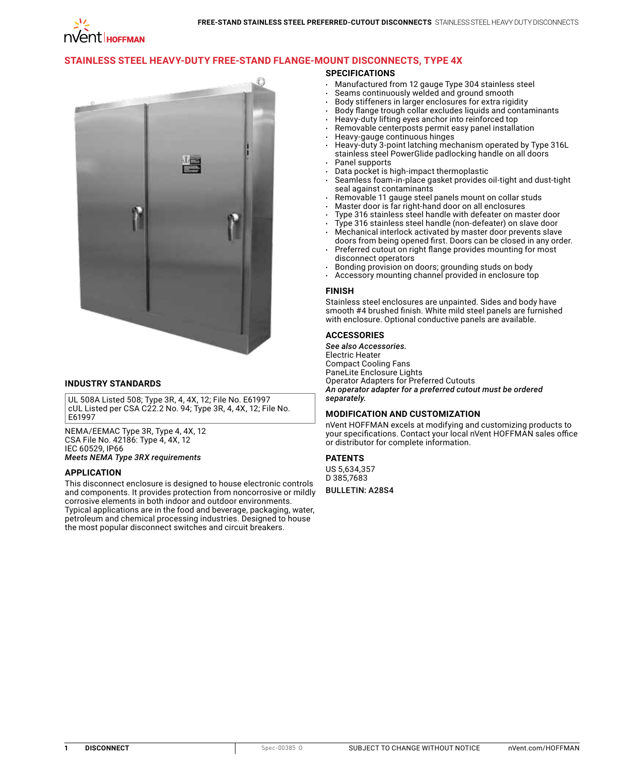# **[Stainless Steel Heavy-Duty Free-Stand Flange-Mount Disconnects, Type 4X](http://hoffman.nvent.com/en/hoffman/Stainless-Steel-Heavy-Duty-Free-Stand-Enclosures-for-Flange-Mount-Disconnects-Type-4X)**

### **SPECIFICATIONS**

- • Manufactured from 12 gauge Type 304 stainless steel
- Seams continuously welded and ground smooth
- Body stiffeners in larger enclosures for extra rigidity
- Body flange trough collar excludes liquids and contaminants
- Heavy-duty lifting eyes anchor into reinforced top
- Removable centerposts permit easy panel installation
- Heavy-gauge continuous hinges
- Heavy-duty 3-point latching mechanism operated by Type 316L stainless steel PowerGlide padlocking handle on all doors Panel supports
- Data pocket is high-impact thermoplastic
- Seamless foam-in-place gasket provides oil-tight and dust-tight seal against contaminants
- Removable 11 gauge steel panels mount on collar studs
- Master door is far right-hand door on all enclosures
- Type 316 stainless steel handle with defeater on master door
- Type 316 stainless steel handle (non-defeater) on slave door
- Mechanical interlock activated by master door prevents slave doors from being opened first. Doors can be closed in any order.
- Preferred cutout on right flange provides mounting for most disconnect operators
- Bonding provision on doors; grounding studs on body
- Accessory mounting channel provided in enclosure top

### **FINISH**

Stainless steel enclosures are unpainted. Sides and body have smooth #4 brushed finish. White mild steel panels are furnished with enclosure. Optional conductive panels are available.

### **ACCESSORIES**

*See also Accessories.* Electric Heater Compact Cooling Fans PaneLite Enclosure Lights Operator Adapters for Preferred Cutouts *An operator adapter for a preferred cutout must be ordered separately.*

### **MODIFICATION AND CUSTOMIZATION**

nVent HOFFMAN excels at modifying and customizing products to your specifications. Contact your local nVent HOFFMAN sales office or distributor for complete information.

### **PATENTS**

US 5,634,357 D 385,7683

BULLETIN: A28S4



## **INDUSTRY STANDARDS**

UL 508A Listed 508; Type 3R, 4, 4X, 12; File No. E61997 cUL Listed per CSA C22.2 No. 94; Type 3R, 4, 4X, 12; File No. E61997

NEMA/EEMAC Type 3R, Type 4, 4X, 12 CSA File No. 42186: Type 4, 4X, 12 IEC 60529, IP66 *Meets NEMA Type 3RX requirements*

### **APPLICATION**

This disconnect enclosure is designed to house electronic controls and components. It provides protection from noncorrosive or mildly corrosive elements in both indoor and outdoor environments. Typical applications are in the food and beverage, packaging, water, petroleum and chemical processing industries. Designed to house the most popular disconnect switches and circuit breakers.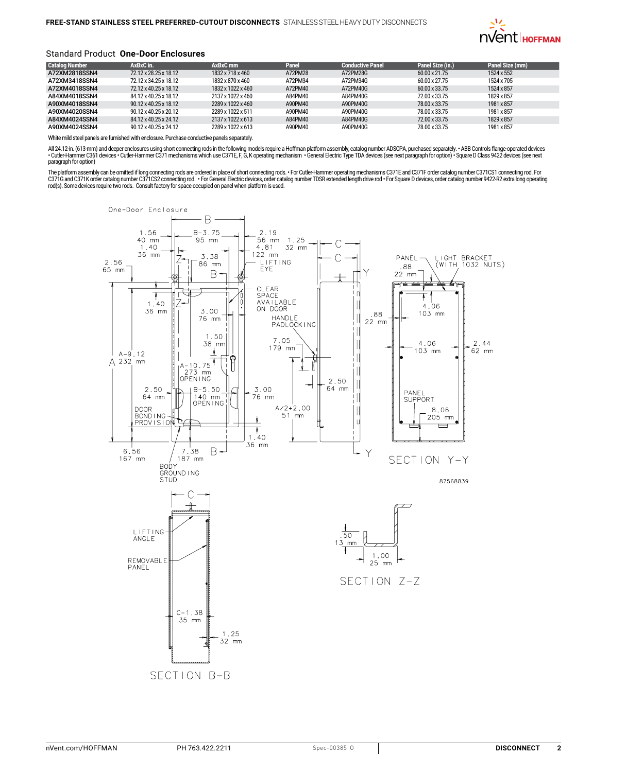

### Standard Product **One-Door Enclosures**

| <b>Catalog Number</b> | AxBxC in.                         | AxBxC mm          | Panel   | <b>Conductive Panel</b> | Panel Size (in.) | Panel Size (mm) |
|-----------------------|-----------------------------------|-------------------|---------|-------------------------|------------------|-----------------|
| A72XM2818SSN4         | 72.12 x 28.25 x 18.12             | 1832 x 718 x 460  | A72PM28 | A72PM28G                | 60.00 x 21.75    | 1524 x 552      |
| A72XM3418SSN4         | 72.12 x 34.25 x 18.12             | 1832 x 870 x 460  | A72PM34 | A72PM34G                | 60.00 x 27.75    | 1524 x 705      |
| A72XM4018SSN4         | 72.12 x 40.25 x 18.12             | 1832 x 1022 x 460 | A72PM40 | A72PM40G                | 60.00 x 33.75    | 1524 x 857      |
| A84XM4018SSN4         | 84.12 x 40.25 x 18.12             | 2137 x 1022 x 460 | A84PM40 | A84PM40G                | 72.00 x 33.75    | 1829 x 857      |
| A90XM4018SSN4         | 90.12 x 40.25 x 18.12             | 2289 x 1022 x 460 | A90PM40 | A90PM40G                | 78.00 x 33.75    | 1981 x 857      |
| A90XM4020SSN4         | $90.12 \times 40.25 \times 20.12$ | 2289 x 1022 x 511 | A90PM40 | A90PM40G                | 78.00 x 33.75    | 1981 x 857      |
| A84XM4024SSN4         | 84.12 x 40.25 x 24.12             | 2137 x 1022 x 613 | A84PM40 | A84PM40G                | 72.00 x 33.75    | 1829 x 857      |
| A90XM4024SSN4         | 90.12 x 40.25 x 24.12             | 2289 x 1022 x 613 | A90PM40 | A90PM40G                | 78.00 x 33.75    | 1981 x 857      |

White mild steel panels are furnished with enclosure. Purchase conductive panels separately.

All 24.12-in. (613-mm) and deeper enclosures using short connecting rods in the following models require a Hoffman platform assembly, catalog number ADSCPA, purchased separately. • ABB Controls flange operated devices<br>• Cu paragraph for option)

The platform assembly can be omitted if long connecting rods are ordered in place of short connecting rods. • For Cutler-Hammer operating mechanisms C371E and C371F order catalog number C371CS1 connecting rod. For C371G and C371K order catalog number C371CS2 connecting rod. •For General Electric devices, order catalog number TDSR extended length drive rod •For Square D devices, order catalog number 9422-R2 extra long operating<br>rod(s

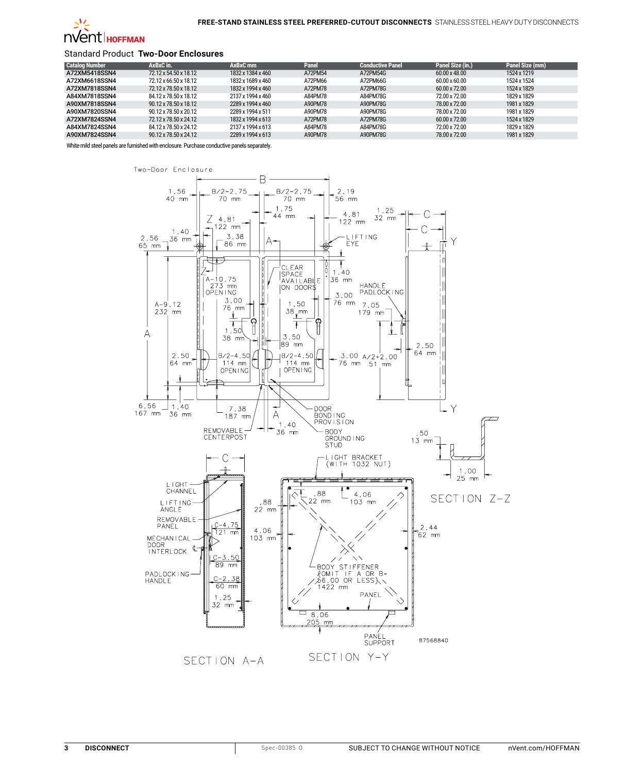

### Standard Product **Two-Door Enclosures**

| <b>Catalog Number</b> | AxBxC in.             | AxBxC mm          | Panel   | <b>Conductive Panel</b> | Panel Size (in.)     | Panel Size (mm) |
|-----------------------|-----------------------|-------------------|---------|-------------------------|----------------------|-----------------|
| A72XM5418SSN4         | 72.12 x 54.50 x 18.12 | 1832 x 1384 x 460 | A72PM54 | A72PM54G                | 60.00 x 48.00        | 1524 x 1219     |
| A72XM6618SSN4         | 72.12 x 66.50 x 18.12 | 1832 x 1689 x 460 | A72PM66 | A72PM66G                | 60.00 x 60.00        | 1524 x 1524     |
| A72XM7818SSN4         | 72.12 x 78.50 x 18.12 | 1832 x 1994 x 460 | A72PM78 | A72PM78G                | $60.00 \times 72.00$ | 1524 x 1829     |
| A84XM7818SSN4         | 84.12 x 78.50 x 18.12 | 2137 x 1994 x 460 | A84PM78 | A84PM78G                | 72.00 x 72.00        | 1829 x 1829     |
| A90XM7818SSN4         | 90.12 x 78.50 x 18.12 | 2289 x 1994 x 460 | A90PM78 | A90PM78G                | 78.00 x 72.00        | 1981 x 1829     |
| A90XM7820SSN4         | 90.12 x 78.50 x 20.12 | 2289 x 1994 x 511 | A90PM78 | A90PM78G                | 78.00 x 72.00        | 1981 x 1829     |
| A72XM7824SSN4         | 72.12 x 78.50 x 24.12 | 1832 x 1994 x 613 | A72PM78 | A72PM78G                | $60.00 \times 72.00$ | 1524 x 1829     |
| A84XM7824SSN4         | 84.12 x 78.50 x 24.12 | 2137 x 1994 x 613 | A84PM78 | A84PM78G                | 72.00 x 72.00        | 1829 x 1829     |
| A90XM7824SSN4         | 90.12 x 78.50 x 24.12 | 2289 x 1994 x 613 | A90PM78 | A90PM78G                | 78.00 x 72.00        | 1981 x 1829     |

White mild steel panels are furnished with enclosure. Purchase conductive panels separately.

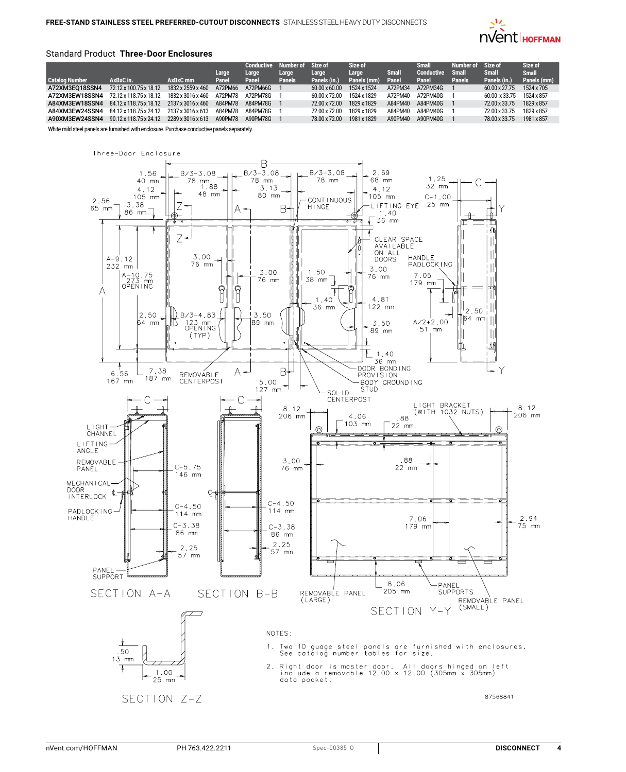

### Standard Product **Three-Door Enclosures**

| <b>Catalog Number</b> | AxBxC in.              | AxBxC mm          | Large<br>Panel | Conductive<br>Large<br>Panel | Number of Size of<br>Large<br><b>Panels</b> | Large<br>Panels (in.) | Size of<br>Large<br>Panels (mm) | <b>Small</b><br>Panel | <b>Small</b><br>Conductive<br>Panel | Number of<br>Small<br>Panels | Size of<br><b>Small</b><br>Panels (in.) | Size of<br><b>Small</b><br>Panels (mm) |
|-----------------------|------------------------|-------------------|----------------|------------------------------|---------------------------------------------|-----------------------|---------------------------------|-----------------------|-------------------------------------|------------------------------|-----------------------------------------|----------------------------------------|
| A72XM3E018SSN4        | 72.12 x 100.75 x 18.12 | 1832 x 2559 x 460 | A72PM66        | A72PM66G                     |                                             | $60.00 \times 60.00$  | 1524 x 1524                     | A72PM34               | A72PM34G                            |                              | $60.00 \times 27.75$                    | 1524 x 705                             |
| A72XM3EW18SSN4        | 72.12 x 118.75 x 18.12 | 1832 x 3016 x 460 | A72PM78        | A72PM78G                     |                                             | 60.00 x 72.00         | 1524 x 1829                     | A72PM40               | A72PM40G                            |                              | 60.00 x 33.75                           | 1524 x 857                             |
| A84XM3EW18SSN4        | 84.12 x 118.75 x 18.12 | 2137 x 3016 x 460 | A84PM78        | A84PM78G                     |                                             | 72.00 x 72.00         | 1829 x 1829                     | A84PM40               | A84PM40G                            |                              | 72.00 x 33.75                           | 1829 x 857                             |
| A84XM3EW24SSN4        | 84.12 x 118.75 x 24.12 | 2137 x 3016 x 613 | A84PM78        | A84PM78G                     |                                             | 72.00 x 72.00         | 1829 x 1829                     | A84PM40               | A84PM40G                            |                              | 72.00 x 33.75                           | 1829 x 857                             |
| A90XM3EW24SSN4        | 90.12 x 118.75 x 24.12 | 2289 x 3016 x 613 | A90PM78        | A90PM78G                     |                                             | 78.00 x 72.00         | 1981 x 1829                     | A90PM40               | A90PM40G                            |                              | 78.00 x 33.75                           | 1981 x 857                             |

White mild steel panels are furnished with enclosure. Purchase conductive panels separately.

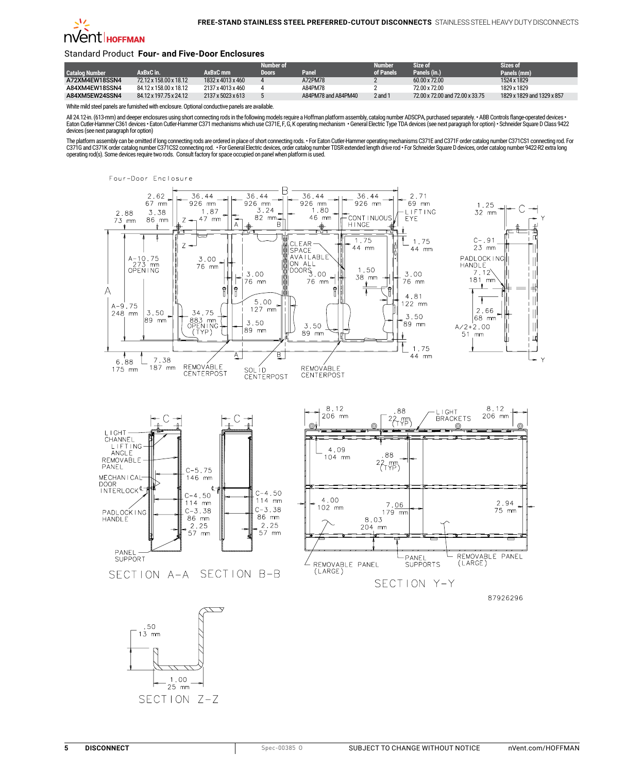

### Standard Product **Four- and Five-Door Enclosures**

|                |                        |                               | Number of |                     | Numher    | Size of                         | Sizes of                   |
|----------------|------------------------|-------------------------------|-----------|---------------------|-----------|---------------------------------|----------------------------|
| Catalog Number | AxBxC in.              | AxBxC <sub>mm</sub>           | Doors     | Panel               | of Panels | Panels (in.)                    | Panels (mm)                |
| A72XM4EW18SSN4 | 72.12 x 158.00 x 18.12 | 1832 x 4013 x 460             |           | A72PM78             |           | $60.00 \times 72.00$            | 1524 x 1829                |
| A84XM4EW18SSN4 | 84.12 x 158.00 x 18.12 | 2137 x 4013 x 460             |           | A84PM78             |           | 72.00 x 72.00                   | 1829 x 1829                |
| A84XM5EW24SSN4 | 84.12 x 197.75 x 24.12 | $2137 \times 5023 \times 613$ |           | A84PM78 and A84PM40 | 2 and 1   | 72.00 x 72.00 and 72.00 x 33.75 | 1829 x 1829 and 1329 x 857 |

White mild steel panels are furnished with enclosure. Optional conductive panels are available.

All 24.12-in. (613-mm) and deeper enclosures using short connecting rods in the following models require a Hoffman platform assembly, catalog number ADSCPA, purchased separately. • ABB Controls flange operated devices •<br>Ea devices (see next paragraph for option)

The platform assembly can be omitted if long connecting rods are ordered in place of short connecting rods. • For Eaton Cutler-Hammer operating mechanisms C371E and C371F order catalog number C371CS1 connecting rod. For C371G and C371K order catalog number C371CS2 connecting rod. • For General Electric devices, order catalog number TDSR extended length drive rod • For Schneider Square D devices, order catalog number 9422-R2 extra long operating rod(s). Some devices require two rods. Consult factory for space occupied on panel when platform is used.



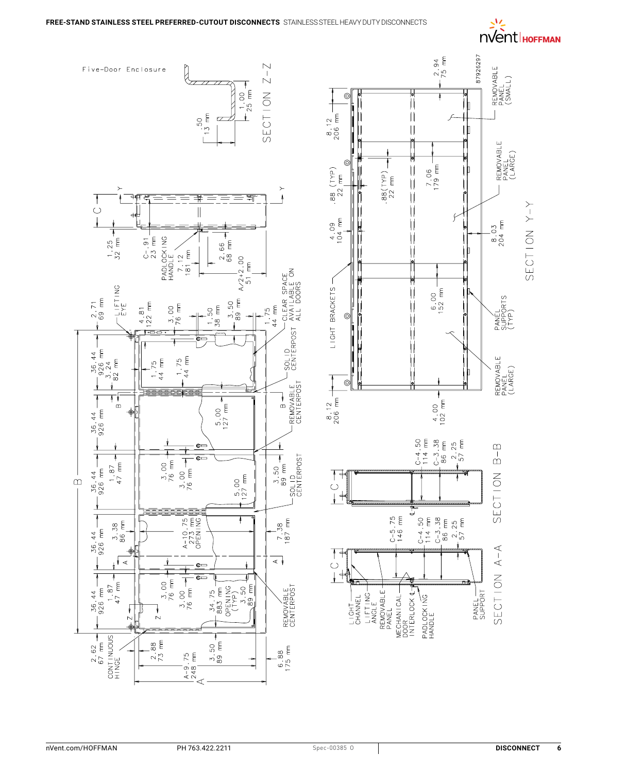# **EXAMPLE**

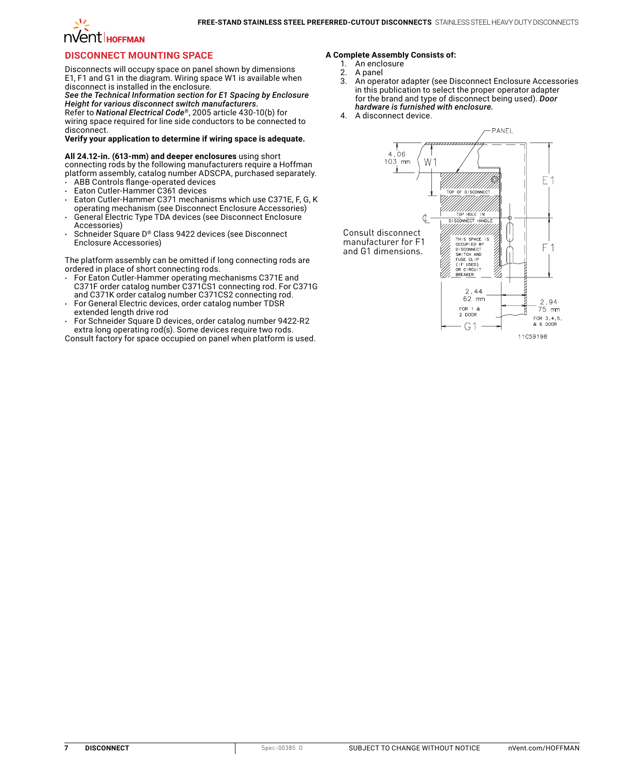### **Free-Stand Stainless Steel Preferred-Cutout Disconnects** Stainless Steel Heavy Duty Disconnects

# **NVent** HOFFMAN

## **Disconnect Mounting Space**

Disconnects will occupy space on panel shown by dimensions E1, F1 and G1 in the diagram. Wiring space W1 is available when disconnect is installed in the enclosure.

*See the Technical Information section for E1 Spacing by Enclosure Height for various disconnect switch manufacturers.*

Refer to *National Electrical Code®*, 2005 article 430-10(b) for wiring space required for line side conductors to be connected to disconnect.

### **Verify your application to determine if wiring space is adequate.**

### **All 24.12-in. (613-mm) and deeper enclosures** using short

connecting rods by the following manufacturers require a Hoffman platform assembly, catalog number ADSCPA, purchased separately.

- ABB Controls flange-operated devices
- Eaton Cutler-Hammer C361 devices
- Eaton Cutler-Hammer C371 mechanisms which use C371E, F, G, K operating mechanism (see Disconnect Enclosure Accessories)
- General Electric Type TDA devices (see Disconnect Enclosure Accessories)
- Schneider Square D® Class 9422 devices (see Disconnect Enclosure Accessories)

The platform assembly can be omitted if long connecting rods are ordered in place of short connecting rods.

- For Eaton Cutler-Hammer operating mechanisms C371E and C371F order catalog number C371CS1 connecting rod. For C371G and C371K order catalog number C371CS2 connecting rod. For General Electric devices, order catalog number TDSR
- extended length drive rod
- For Schneider Square D devices, order catalog number 9422-R2 extra long operating rod(s). Some devices require two rods.

Consult factory for space occupied on panel when platform is used.

### **A Complete Assembly Consists of:**

- 1. An enclosure<br>2. A panel
- 2. A panel
- 3. An operator adapter (see Disconnect Enclosure Accessories in this publication to select the proper operator adapter for the brand and type of disconnect being used). *Door hardware is furnished with enclosure.*
- 4. A disconnect device.